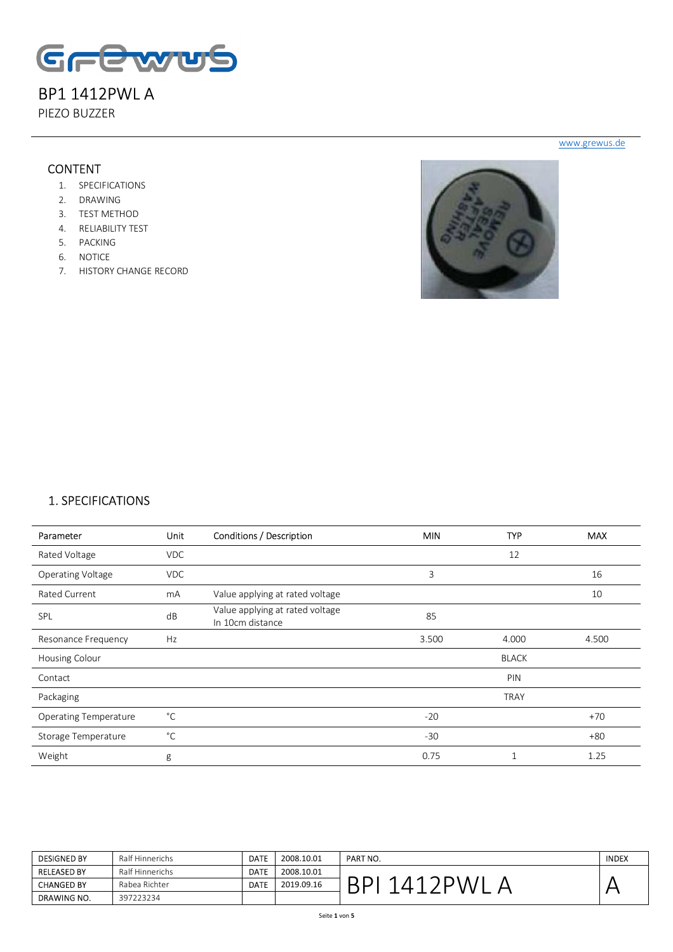

PIEZO BUZZER

### **CONTENT**

- 1. SPECIFICATIONS
- 2. DRAWING
- 3. TEST METHOD
- 4. RELIABILITY TEST
- 5. PACKING
- 6. NOTICE
- 7. HISTORY CHANGE RECORD



### 1. SPECIFICATIONS

| Parameter                    | Unit         | Conditions / Description                            | <b>MIN</b> | <b>TYP</b>   | <b>MAX</b> |
|------------------------------|--------------|-----------------------------------------------------|------------|--------------|------------|
| Rated Voltage                | <b>VDC</b>   |                                                     |            | 12           |            |
| <b>Operating Voltage</b>     | <b>VDC</b>   |                                                     | 3          |              | 16         |
| Rated Current                | mA           | Value applying at rated voltage                     |            |              | 10         |
| SPL                          | dB           | Value applying at rated voltage<br>In 10cm distance | 85         |              |            |
| Resonance Frequency          | Hz           |                                                     | 3.500      | 4.000        | 4.500      |
| Housing Colour               |              |                                                     |            | <b>BLACK</b> |            |
| Contact                      |              |                                                     |            | PIN          |            |
| Packaging                    |              |                                                     |            | <b>TRAY</b>  |            |
| <b>Operating Temperature</b> | $^{\circ}$ C |                                                     | $-20$      |              | $+70$      |
| Storage Temperature          | °C           |                                                     | $-30$      |              | $+80$      |
| Weight                       | g            |                                                     | 0.75       |              | 1.25       |

| <b>DESIGNED BY</b> | Ralf Hinnerichs | <b>DATE</b> | 2008.10.01 | PART NO. | <b>INDEX</b> |
|--------------------|-----------------|-------------|------------|----------|--------------|
| <b>RELEASED BY</b> | Ralf Hinnerichs | <b>DATE</b> | 2008.10.01 |          |              |
| <b>CHANGED BY</b>  | Rabea Richter   | <b>DATE</b> | 2019.09.16 |          |              |
| <b>DRAWING NO.</b> | 397223234       |             |            |          |              |

www.grewus.de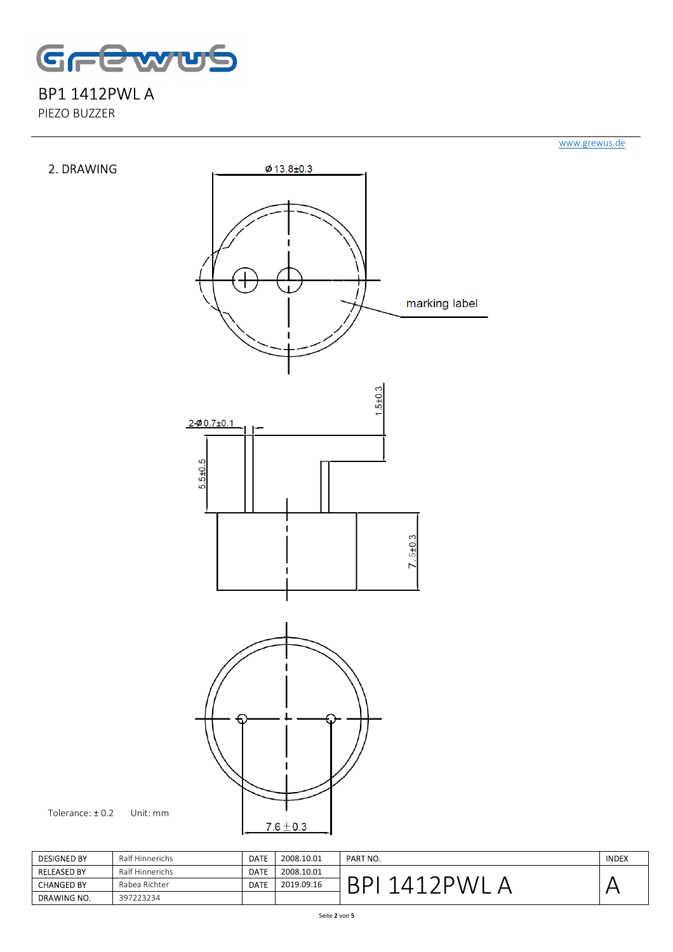

PIEZO BUZZER



| <b>DESIGNED BY</b> | Ralf Hinnerichs | <b>DATE</b> | 2008.10.01 | <b>PART NO.</b> | <b>INDEX</b> |
|--------------------|-----------------|-------------|------------|-----------------|--------------|
| <b>RELEASED BY</b> | Ralf Hinnerichs | <b>DATE</b> | 2008.10.01 |                 |              |
| <b>CHANGED BY</b>  | Rabea Richter   | <b>DATE</b> | 2019.09.16 |                 |              |
| DRAWING NO.        | 397223234       |             |            |                 |              |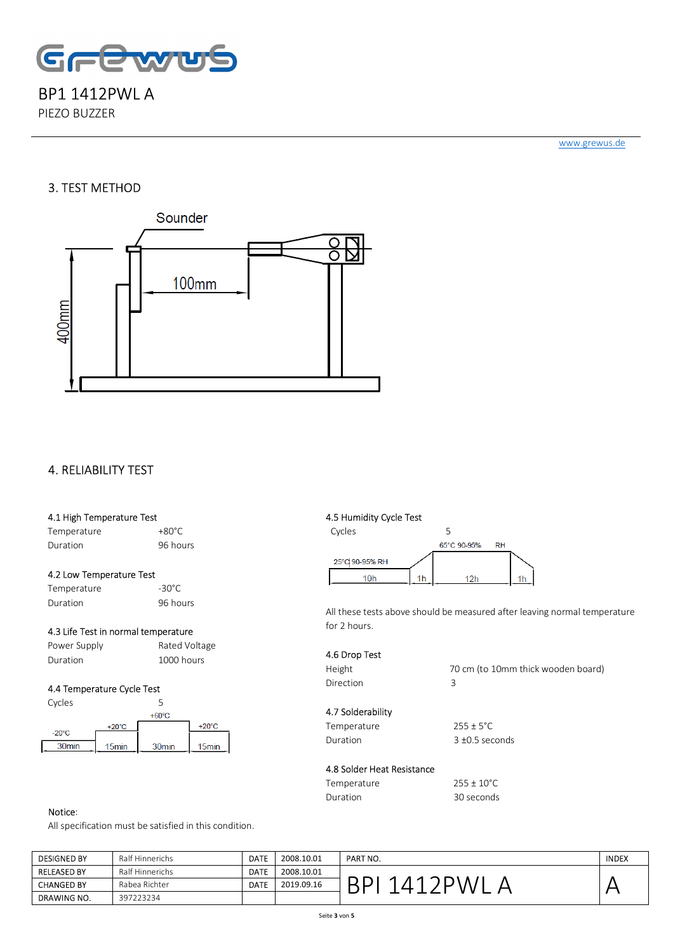

PIEZO BUZZER

www.grewus.de

### 3. TEST METHOD



### 4. RELIABILITY TEST

#### 4.1 High Temperature Test

Temperature +80°C Duration 96 hours

#### 4.2 Low Temperature Test

| Temperature | $-30^{\circ}$ C |
|-------------|-----------------|
| Duration    | 96 hours        |

#### 4.3 Life Test in normal temperature

| Power Supply | Rated Voltage |
|--------------|---------------|
| Duration     | 1000 hours    |

#### 4.4 Temperature Cycle Test



#### 4.5 Humidity Cycle Test



All these tests above should be measured after leaving normal temperature for 2 hours.

#### 4.6 Drop Test

Direction 3

Height 70 cm (to 10mm thick wooden board)

#### 4.7 Solderability Temperature 255 ± 5°C Duration 3 ±0.5 seconds

# 4.8 Solder Heat Resistance

| Temperature | $255 \pm 10^{\circ}$ C |
|-------------|------------------------|
| Duration    | 30 seconds             |

#### Notice:

All specification must be satisfied in this condition.

| <b>DESIGNED BY</b> | Ralf Hinnerichs | <b>DATE</b> | 2008.10.01 | PART NO. | <b>INDEX</b> |
|--------------------|-----------------|-------------|------------|----------|--------------|
| <b>RELEASED BY</b> | Ralf Hinnerichs | <b>DATE</b> | 2008.10.01 |          |              |
| <b>CHANGED BY</b>  | Rabea Richter   | <b>DATE</b> | 2019.09.16 |          |              |
| DRAWING NO.        | 397223234       |             |            |          |              |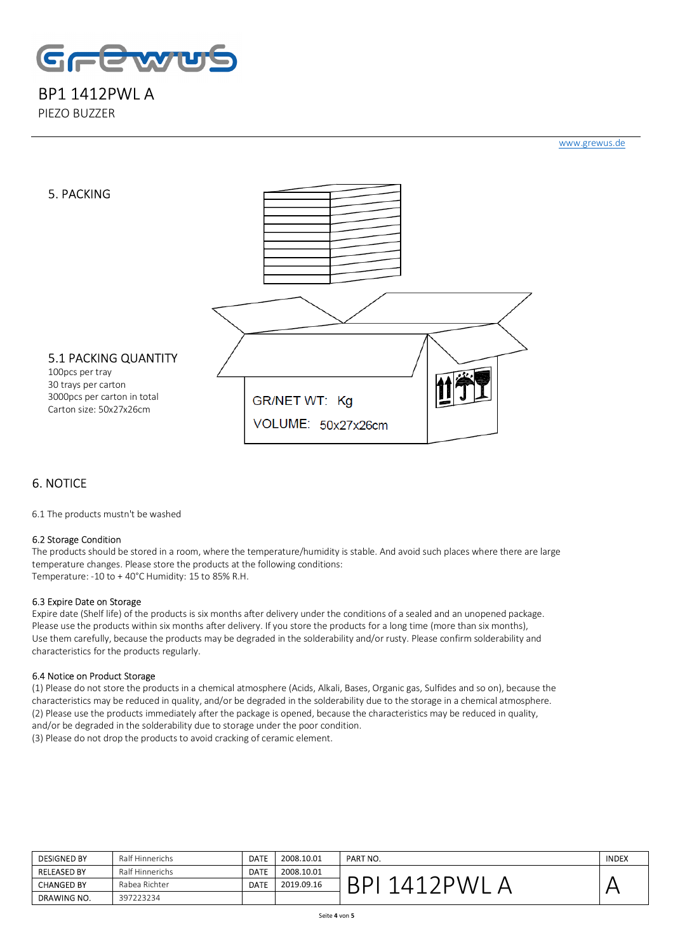

PIEZO BUZZER

www.grewus.de



## 6. NOTICE

6.1 The products mustn't be washed

#### 6.2 Storage Condition

The products should be stored in a room, where the temperature/humidity is stable. And avoid such places where there are large temperature changes. Please store the products at the following conditions: Temperature: -10 to + 40°C Humidity: 15 to 85% R.H.

#### 6.3 Expire Date on Storage

Expire date (Shelf life) of the products is six months after delivery under the conditions of a sealed and an unopened package. Please use the products within six months after delivery. If you store the products for a long time (more than six months), Use them carefully, because the products may be degraded in the solderability and/or rusty. Please confirm solderability and characteristics for the products regularly.

#### 6.4 Notice on Product Storage

(1) Please do not store the products in a chemical atmosphere (Acids, Alkali, Bases, Organic gas, Sulfides and so on), because the characteristics may be reduced in quality, and/or be degraded in the solderability due to the storage in a chemical atmosphere. (2) Please use the products immediately after the package is opened, because the characteristics may be reduced in quality, and/or be degraded in the solderability due to storage under the poor condition.

(3) Please do not drop the products to avoid cracking of ceramic element.

| <b>DESIGNED BY</b> | Ralf Hinnerichs | <b>DATE</b> | 2008.10.01 | PART NO. | <b>INDEX</b> |
|--------------------|-----------------|-------------|------------|----------|--------------|
| <b>RELEASED BY</b> | Ralf Hinnerichs | <b>DATE</b> | 2008.10.01 |          |              |
| <b>CHANGED BY</b>  | Rabea Richter   | <b>DATE</b> | 2019.09.16 |          |              |
| <b>DRAWING NO.</b> | 397223234       |             |            |          |              |